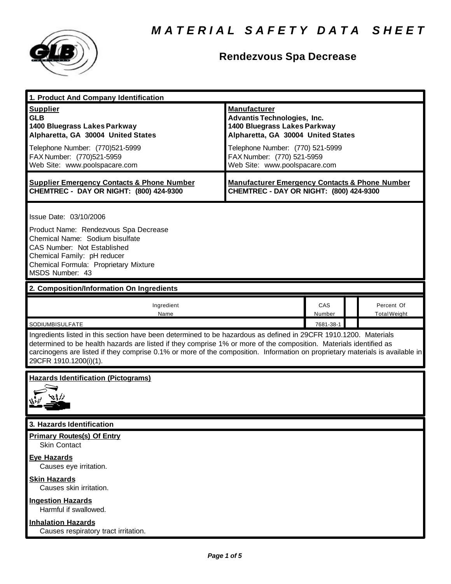

# **Rendezvous Spa Decrease**

| 1. Product And Company Identification                                                                                                                                                                                                                                                                                                                                                                                             |                                                                                                                                                                                                                                    |               |                                   |
|-----------------------------------------------------------------------------------------------------------------------------------------------------------------------------------------------------------------------------------------------------------------------------------------------------------------------------------------------------------------------------------------------------------------------------------|------------------------------------------------------------------------------------------------------------------------------------------------------------------------------------------------------------------------------------|---------------|-----------------------------------|
| <b>Supplier</b><br><b>GLB</b><br>1400 Bluegrass Lakes Parkway<br>Alpharetta, GA 30004 United States<br>Telephone Number: (770)521-5999<br>FAX Number: (770)521-5959<br>Web Site: www.poolspacare.com                                                                                                                                                                                                                              | <b>Manufacturer</b><br><b>Advantis Technologies, Inc.</b><br>1400 Bluegrass Lakes Parkway<br>Alpharetta, GA 30004 United States<br>Telephone Number: (770) 521-5999<br>FAX Number: (770) 521-5959<br>Web Site: www.poolspacare.com |               |                                   |
| <b>Supplier Emergency Contacts &amp; Phone Number</b><br>CHEMTREC - DAY OR NIGHT: (800) 424-9300                                                                                                                                                                                                                                                                                                                                  | <b>Manufacturer Emergency Contacts &amp; Phone Number</b><br>CHEMTREC - DAY OR NIGHT: (800) 424-9300                                                                                                                               |               |                                   |
| Issue Date: 03/10/2006<br>Product Name: Rendezvous Spa Decrease<br>Chemical Name: Sodium bisulfate<br>CAS Number: Not Established<br>Chemical Family: pH reducer<br>Chemical Formula: Proprietary Mixture<br>MSDS Number: 43                                                                                                                                                                                                      |                                                                                                                                                                                                                                    |               |                                   |
| 2. Composition/Information On Ingredients                                                                                                                                                                                                                                                                                                                                                                                         |                                                                                                                                                                                                                                    |               |                                   |
| Ingredient<br>Name                                                                                                                                                                                                                                                                                                                                                                                                                |                                                                                                                                                                                                                                    | CAS<br>Number | Percent Of<br><b>Total Weight</b> |
| SODIUMBISULFATE<br>7681-38-1<br>Ingredients listed in this section have been determined to be hazardous as defined in 29CFR 1910.1200. Materials<br>determined to be health hazards are listed if they comprise 1% or more of the composition. Materials identified as<br>carcinogens are listed if they comprise 0.1% or more of the composition. Information on proprietary materials is available in<br>29CFR 1910.1200(i)(1). |                                                                                                                                                                                                                                    |               |                                   |
| <b>Hazards Identification (Pictograms)</b>                                                                                                                                                                                                                                                                                                                                                                                        |                                                                                                                                                                                                                                    |               |                                   |
| 3. Hazards Identification                                                                                                                                                                                                                                                                                                                                                                                                         |                                                                                                                                                                                                                                    |               |                                   |
| <b>Primary Routes(s) Of Entry</b><br><b>Skin Contact</b><br><b>Eye Hazards</b><br>Causes eye irritation.                                                                                                                                                                                                                                                                                                                          |                                                                                                                                                                                                                                    |               |                                   |
| <b>Skin Hazards</b><br>Causes skin irritation.                                                                                                                                                                                                                                                                                                                                                                                    |                                                                                                                                                                                                                                    |               |                                   |
| <b>Ingestion Hazards</b><br>Harmful if swallowed.                                                                                                                                                                                                                                                                                                                                                                                 |                                                                                                                                                                                                                                    |               |                                   |
| <b>Inhalation Hazards</b><br>Causes respiratory tract irritation.                                                                                                                                                                                                                                                                                                                                                                 |                                                                                                                                                                                                                                    |               |                                   |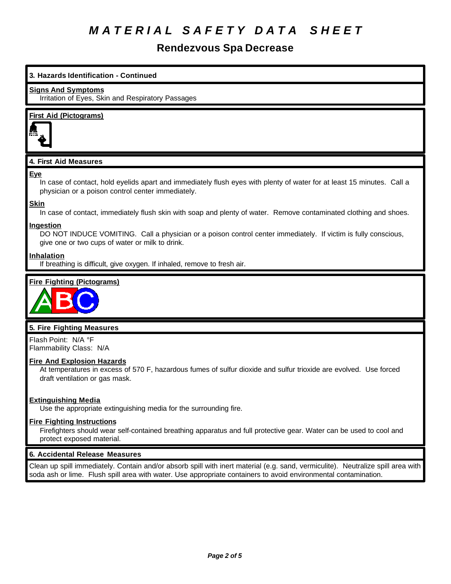# **Rendezvous Spa Decrease**

# **3. Hazards Identification - Continued Signs And Symptoms** Irritation of Eyes, Skin and Respiratory Passages **First Aid (Pictograms) 4. First Aid Measures Eye** In case of contact, hold eyelids apart and immediately flush eyes with plenty of water for at least 15 minutes. Call a physician or a poison control center immediately. **Skin** In case of contact, immediately flush skin with soap and plenty of water. Remove contaminated clothing and shoes. **Ingestion** DO NOT INDUCE VOMITING. Call a physician or a poison control center immediately. If victim is fully conscious, give one or two cups of water or milk to drink. **Inhalation** If breathing is difficult, give oxygen. If inhaled, remove to fresh air. **Fire Fighting (Pictograms) 5. Fire Fighting Measures**

Flash Point: N/A °F Flammability Class: N/A

# **Fire And Explosion Hazards**

At temperatures in excess of 570 F, hazardous fumes of sulfur dioxide and sulfur trioxide are evolved. Use forced draft ventilation or gas mask.

# **Extinguishing Media**

Use the appropriate extinguishing media for the surrounding fire.

# **Fire Fighting Instructions**

Firefighters should wear self-contained breathing apparatus and full protective gear. Water can be used to cool and protect exposed material.

# **6. Accidental Release Measures**

Clean up spill immediately. Contain and/or absorb spill with inert material (e.g. sand, vermiculite). Neutralize spill area with soda ash or lime. Flush spill area with water. Use appropriate containers to avoid environmental contamination.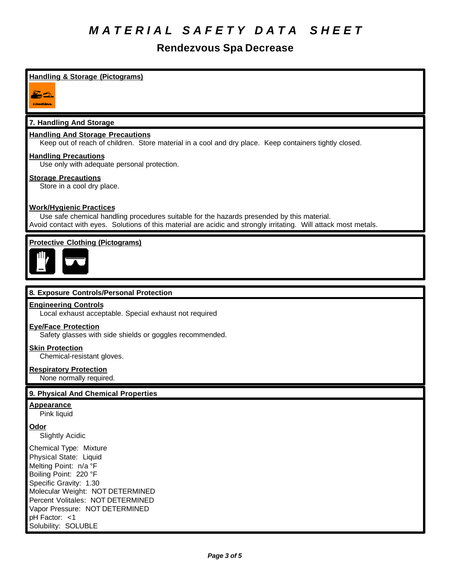# **Rendezvous Spa Decrease**

# **Handling & Storage (Pictograms)**



# **7. Handling And Storage**

# **Handling And Storage Precautions**

Keep out of reach of children. Store material in a cool and dry place. Keep containers tightly closed.

### **Handling Precautions**

Use only with adequate personal protection.

### **Storage Precautions**

Store in a cool dry place.

# **Work/Hygienic Practices**

Use safe chemical handling procedures suitable for the hazards presended by this material. Avoid contact with eyes. Solutions of this material are acidic and strongly irritating. Will attack most metals.

# **Protective Clothing (Pictograms)**



# **8. Exposure Controls/Personal Protection**

#### **Engineering Controls**

Local exhaust acceptable. Special exhaust not required

### **Eye/Face Protection**

Safety glasses with side shields or goggles recommended.

### **Skin Protection**

Chemical-resistant gloves.

#### **Respiratory Protection**

None normally required.

### **9. Physical And Chemical Properties**

#### **Appearance**

Pink liquid

#### **Odor**

Slightly Acidic

Chemical Type: Mixture Physical State: Liquid Melting Point: n/a °F Boiling Point: 220 °F Specific Gravity: 1.30 Molecular Weight: NOT DETERMINED Percent Volitales: NOT DETERMINED Vapor Pressure: NOT DETERMINED pH Factor: <1 Solubility: SOLUBLE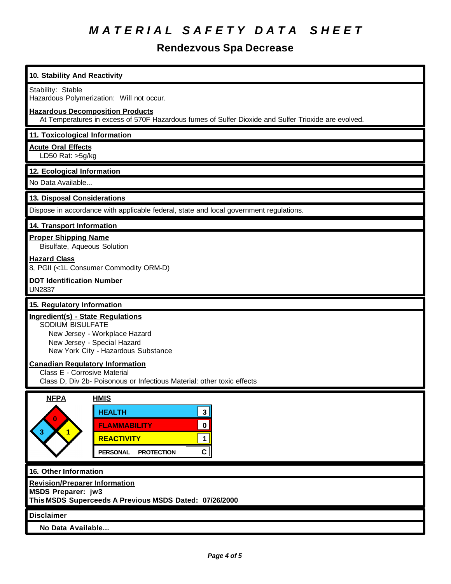# **Rendezvous Spa Decrease**

| 10. Stability And Reactivity                                                                                                                                                                                        |  |  |  |
|---------------------------------------------------------------------------------------------------------------------------------------------------------------------------------------------------------------------|--|--|--|
| Stability: Stable<br>Hazardous Polymerization: Will not occur.                                                                                                                                                      |  |  |  |
| <b>Hazardous Decomposition Products</b><br>At Temperatures in excess of 570F Hazardous fumes of Sulfer Dioxide and Sulfer Trioxide are evolved.                                                                     |  |  |  |
| 11. Toxicological Information                                                                                                                                                                                       |  |  |  |
| <b>Acute Oral Effects</b><br>LD50 Rat: >5g/kg                                                                                                                                                                       |  |  |  |
| 12. Ecological Information                                                                                                                                                                                          |  |  |  |
| No Data Available                                                                                                                                                                                                   |  |  |  |
| 13. Disposal Considerations                                                                                                                                                                                         |  |  |  |
| Dispose in accordance with applicable federal, state and local government regulations.                                                                                                                              |  |  |  |
| 14. Transport Information                                                                                                                                                                                           |  |  |  |
| <b>Proper Shipping Name</b><br><b>Bisulfate, Aqueous Solution</b>                                                                                                                                                   |  |  |  |
| <b>Hazard Class</b><br>8, PGII (<1L Consumer Commodity ORM-D)                                                                                                                                                       |  |  |  |
| <b>DOT Identification Number</b><br><b>UN2837</b>                                                                                                                                                                   |  |  |  |
| 15. Regulatory Information                                                                                                                                                                                          |  |  |  |
| Ingredient(s) - State Regulations<br><b>SODIUM BISULFATE</b><br>New Jersey - Workplace Hazard<br>New Jersey - Special Hazard<br>New York City - Hazardous Substance                                                 |  |  |  |
| <b>Canadian Regulatory Information</b><br>Class E - Corrosive Material<br>Class D, Div 2b- Poisonous or Infectious Material: other toxic effects                                                                    |  |  |  |
| <b>NFPA</b><br><b>HMIS</b><br><b>HEALTH</b><br>$\mathbf{3}$<br>$\bf{0}$<br>$\mathbf 0$<br><b>FLAMMABILITY</b><br>3<br>$\mathbf{1}$<br><b>REACTIVITY</b><br>$\mathbf 1$<br>C<br><b>PROTECTION</b><br><b>PERSONAL</b> |  |  |  |
| 16. Other Information                                                                                                                                                                                               |  |  |  |
| <b>Revision/Preparer Information</b><br><b>MSDS Preparer: jw3</b><br>This MSDS Superceeds A Previous MSDS Dated: 07/26/2000                                                                                         |  |  |  |
| <b>Disclaimer</b>                                                                                                                                                                                                   |  |  |  |
| No Data Available                                                                                                                                                                                                   |  |  |  |